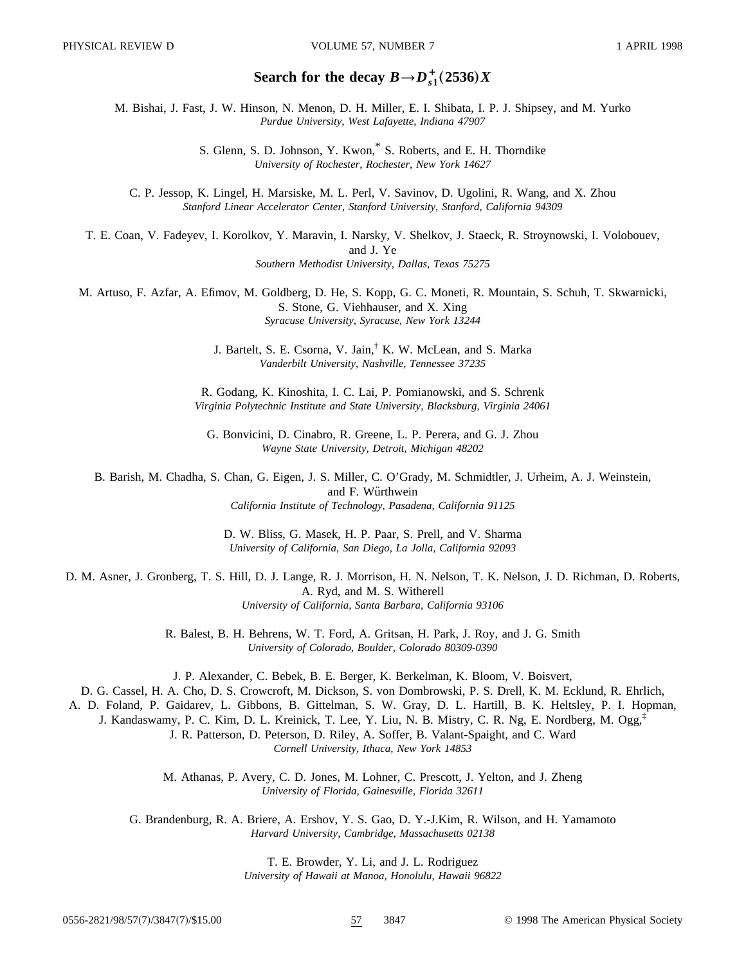# Search for the decay  $B \rightarrow D_{s1}^+(2536)X$

M. Bishai, J. Fast, J. W. Hinson, N. Menon, D. H. Miller, E. I. Shibata, I. P. J. Shipsey, and M. Yurko *Purdue University, West Lafayette, Indiana 47907*

> S. Glenn, S. D. Johnson, Y. Kwon,\* S. Roberts, and E. H. Thorndike *University of Rochester, Rochester, New York 14627*

C. P. Jessop, K. Lingel, H. Marsiske, M. L. Perl, V. Savinov, D. Ugolini, R. Wang, and X. Zhou *Stanford Linear Accelerator Center, Stanford University, Stanford, California 94309*

T. E. Coan, V. Fadeyev, I. Korolkov, Y. Maravin, I. Narsky, V. Shelkov, J. Staeck, R. Stroynowski, I. Volobouev, and J. Ye *Southern Methodist University, Dallas, Texas 75275*

M. Artuso, F. Azfar, A. Efimov, M. Goldberg, D. He, S. Kopp, G. C. Moneti, R. Mountain, S. Schuh, T. Skwarnicki, S. Stone, G. Viehhauser, and X. Xing *Syracuse University, Syracuse, New York 13244*

> J. Bartelt, S. E. Csorna, V. Jain,† K. W. McLean, and S. Marka *Vanderbilt University, Nashville, Tennessee 37235*

R. Godang, K. Kinoshita, I. C. Lai, P. Pomianowski, and S. Schrenk *Virginia Polytechnic Institute and State University, Blacksburg, Virginia 24061*

G. Bonvicini, D. Cinabro, R. Greene, L. P. Perera, and G. J. Zhou *Wayne State University, Detroit, Michigan 48202*

B. Barish, M. Chadha, S. Chan, G. Eigen, J. S. Miller, C. O'Grady, M. Schmidtler, J. Urheim, A. J. Weinstein, and F. Würthwein *California Institute of Technology, Pasadena, California 91125*

> D. W. Bliss, G. Masek, H. P. Paar, S. Prell, and V. Sharma *University of California, San Diego, La Jolla, California 92093*

D. M. Asner, J. Gronberg, T. S. Hill, D. J. Lange, R. J. Morrison, H. N. Nelson, T. K. Nelson, J. D. Richman, D. Roberts, A. Ryd, and M. S. Witherell *University of California, Santa Barbara, California 93106*

> R. Balest, B. H. Behrens, W. T. Ford, A. Gritsan, H. Park, J. Roy, and J. G. Smith *University of Colorado, Boulder, Colorado 80309-0390*

> J. P. Alexander, C. Bebek, B. E. Berger, K. Berkelman, K. Bloom, V. Boisvert,

D. G. Cassel, H. A. Cho, D. S. Crowcroft, M. Dickson, S. von Dombrowski, P. S. Drell, K. M. Ecklund, R. Ehrlich,

A. D. Foland, P. Gaidarev, L. Gibbons, B. Gittelman, S. W. Gray, D. L. Hartill, B. K. Heltsley, P. I. Hopman,

J. Kandaswamy, P. C. Kim, D. L. Kreinick, T. Lee, Y. Liu, N. B. Mistry, C. R. Ng, E. Nordberg, M. Ogg,‡ J. R. Patterson, D. Peterson, D. Riley, A. Soffer, B. Valant-Spaight, and C. Ward

*Cornell University, Ithaca, New York 14853*

M. Athanas, P. Avery, C. D. Jones, M. Lohner, C. Prescott, J. Yelton, and J. Zheng *University of Florida, Gainesville, Florida 32611*

G. Brandenburg, R. A. Briere, A. Ershov, Y. S. Gao, D. Y.-J.Kim, R. Wilson, and H. Yamamoto *Harvard University, Cambridge, Massachusetts 02138*

> T. E. Browder, Y. Li, and J. L. Rodriguez *University of Hawaii at Manoa, Honolulu, Hawaii 96822*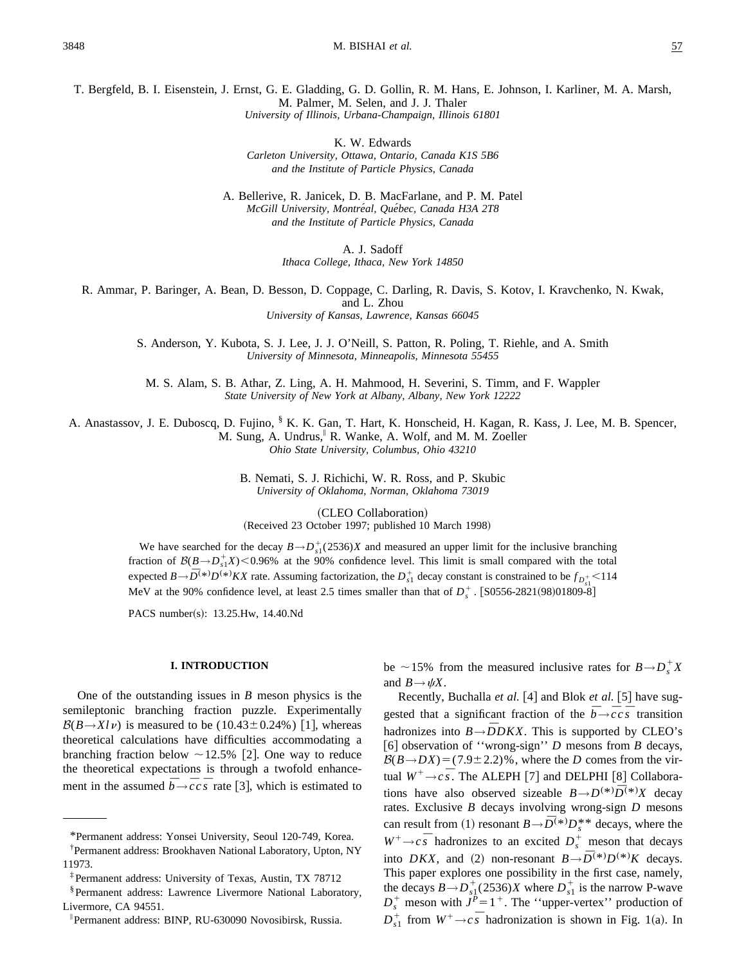T. Bergfeld, B. I. Eisenstein, J. Ernst, G. E. Gladding, G. D. Gollin, R. M. Hans, E. Johnson, I. Karliner, M. A. Marsh, M. Palmer, M. Selen, and J. J. Thaler *University of Illinois, Urbana-Champaign, Illinois 61801*

K. W. Edwards

*Carleton University, Ottawa, Ontario, Canada K1S 5B6 and the Institute of Particle Physics, Canada*

A. Bellerive, R. Janicek, D. B. MacFarlane, and P. M. Patel *McGill University, Montre´al, Que´bec, Canada H3A 2T8 and the Institute of Particle Physics, Canada*

A. J. Sadoff

*Ithaca College, Ithaca, New York 14850*

R. Ammar, P. Baringer, A. Bean, D. Besson, D. Coppage, C. Darling, R. Davis, S. Kotov, I. Kravchenko, N. Kwak,

and L. Zhou

*University of Kansas, Lawrence, Kansas 66045*

S. Anderson, Y. Kubota, S. J. Lee, J. J. O'Neill, S. Patton, R. Poling, T. Riehle, and A. Smith *University of Minnesota, Minneapolis, Minnesota 55455*

M. S. Alam, S. B. Athar, Z. Ling, A. H. Mahmood, H. Severini, S. Timm, and F. Wappler *State University of New York at Albany, Albany, New York 12222*

A. Anastassov, J. E. Duboscq, D. Fujino, § K. K. Gan, T. Hart, K. Honscheid, H. Kagan, R. Kass, J. Lee, M. B. Spencer, M. Sung, A. Undrus, R. Wanke, A. Wolf, and M. M. Zoeller *Ohio State University, Columbus, Ohio 43210*

> B. Nemati, S. J. Richichi, W. R. Ross, and P. Skubic *University of Oklahoma, Norman, Oklahoma 73019*

(CLEO Collaboration) (Received 23 October 1997; published 10 March 1998)

We have searched for the decay  $B \rightarrow D_{s1}^+(2536)X$  and measured an upper limit for the inclusive branching fraction of  $B(B \to D_{s1}^+ X)$  < 0.96% at the 90% confidence level. This limit is small compared with the total expected  $B \to \bar{D}^{(*)}D^{(*)} K X$  rate. Assuming factorization, the  $D_{s_1}^+$  decay constant is constrained to be  $f_{D_{s_1}^+}$  < 114 MeV at the 90% confidence level, at least 2.5 times smaller than that of  $D_s^+$ . [S0556-2821(98)01809-8]

PACS number(s): 13.25.Hw, 14.40.Nd

#### **I. INTRODUCTION**

One of the outstanding issues in *B* meson physics is the semileptonic branching fraction puzzle. Experimentally  $B(B\rightarrow Xl\nu)$  is measured to be (10.43±0.24%) [1], whereas theoretical calculations have difficulties accommodating a branching fraction below  $\sim$  12.5% [2]. One way to reduce the theoretical expectations is through a twofold enhancement in the assumed  $\bar{b}$   $\rightarrow$   $\bar{c}$  *c*s<sup> $\bar{s}$ </sup> rate [3], which is estimated to

be ~15% from the measured inclusive rates for  $B \rightarrow D_s^+ X$ and  $B \rightarrow \psi X$ .

Recently, Buchalla *et al.* [4] and Blok *et al.* [5] have suggested that a significant fraction of the  $\overline{b} \rightarrow \overline{c} c \overline{s}$  transition hadronizes into  $B \rightarrow \overline{D} D K X$ . This is supported by CLEO's [6] observation of "wrong-sign" *D* mesons from *B* decays,  $B(B \rightarrow DX) = (7.9 \pm 2.2)$ %, where the *D* comes from the virtual  $W^+ \rightarrow c \bar{s}$ . The ALEPH [7] and DELPHI [8] Collaborations have also observed sizeable  $B \rightarrow D^{(*)} \overline{D}^{(*)} X$  decay rates. Exclusive *B* decays involving wrong-sign *D* mesons can result from (1) resonant  $B \to \overline{D}^{(*)}D_s^{**}$  decays, where the  $W^+ \rightarrow c\bar{s}$  hadronizes to an excited  $D_s^+$  meson that decays into *DKX*, and (2) non-resonant  $B \rightarrow \overline{D}^{(*)}D^{(*)}K$  decays. This paper explores one possibility in the first case, namely, the decays  $B \rightarrow D_{s_1}^+(2536)X$  where  $D_{s_1}^+$  is the narrow P-wave  $D_s^+$  meson with  $J^P = 1^+$ . The "upper-vertex" production of  $D_{s1}^{+}$  from  $W^{+} \rightarrow c s$  hadronization is shown in Fig. 1(a). In

<sup>\*</sup>Permanent address: Yonsei University, Seoul 120-749, Korea.

<sup>†</sup> Permanent address: Brookhaven National Laboratory, Upton, NY 11973.

<sup>‡</sup>Permanent address: University of Texas, Austin, TX 78712

<sup>§</sup>Permanent address: Lawrence Livermore National Laboratory, Livermore, CA 94551.

i Permanent address: BINP, RU-630090 Novosibirsk, Russia.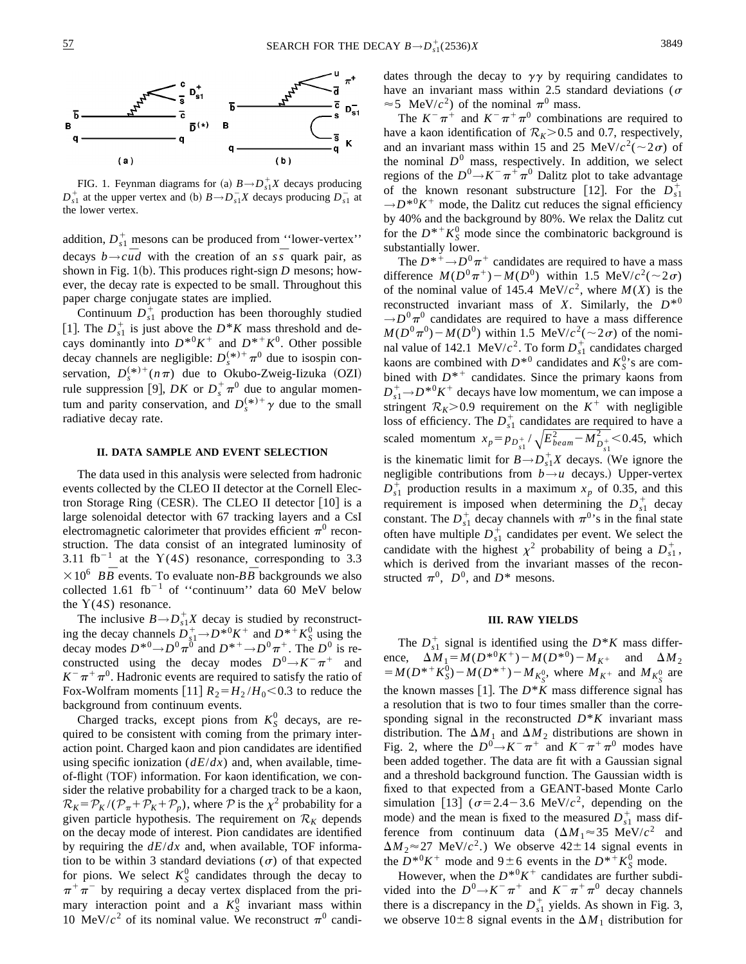

FIG. 1. Feynman diagrams for (a)  $B \rightarrow D_{s1}^+ X$  decays producing  $D_{s1}^+$  at the upper vertex and (b)  $B \rightarrow D_{s1}^- X$  decays producing  $D_{s1}^-$  at the lower vertex.

addition,  $D_{s1}^+$  mesons can be produced from "lower-vertex" decays  $b \rightarrow c \overline{u}d$  with the creation of an  $s\overline{s}$  quark pair, as shown in Fig.  $1(b)$ . This produces right-sign *D* mesons; however, the decay rate is expected to be small. Throughout this paper charge conjugate states are implied.

Continuum  $D_{s_1}^+$  production has been thoroughly studied [1]. The  $D_{s1}^+$  is just above the  $D^*K$  mass threshold and decays dominantly into  $D^{*0}K^+$  and  $D^{*+}K^0$ . Other possible decay channels are negligible:  $D_s^{(*)+} \pi^0$  due to isospin conservation,  $D_s^{(*)+}(n\pi)$  due to Okubo-Zweig-Iizuka (OZI) rule suppression [9], *DK* or  $D_s^{\dagger} \pi^0$  due to angular momentum and parity conservation, and  $D_s^{(*)+} \gamma$  due to the small radiative decay rate.

#### **II. DATA SAMPLE AND EVENT SELECTION**

The data used in this analysis were selected from hadronic events collected by the CLEO II detector at the Cornell Electron Storage Ring (CESR). The CLEO II detector  $[10]$  is a large solenoidal detector with 67 tracking layers and a CsI electromagnetic calorimeter that provides efficient  $\pi^0$  reconstruction. The data consist of an integrated luminosity of 3.11 fb<sup>-1</sup> at the  $Y(4S)$  resonance, corresponding to 3.3  $\times 10^6$  *BB* events. To evaluate non-*BB* backgrounds we also collected 1.61 fb<sup>-1</sup> of "continuum" data 60 MeV below the  $Y(4S)$  resonance.

The inclusive  $B \rightarrow D_{s1}^+ X$  decay is studied by reconstructing the decay channels  $D_{s_1}^+ \rightarrow D^{*0} K^+$  and  $D^{*+} K_S^0$  using the decay modes  $D^{*0} \rightarrow D^0 \pi^0$  and  $D^{*+} \rightarrow D^0 \pi^+$ . The  $D^0$  is reconstructed using the decay modes  $D^0 \rightarrow K^- \pi^+$  and  $K^-\pi^+\pi^0$ . Hadronic events are required to satisfy the ratio of Fox-Wolfram moments  $[11]$   $R_2 = H_2 / H_0 < 0.3$  to reduce the background from continuum events.

Charged tracks, except pions from  $K_S^0$  decays, are required to be consistent with coming from the primary interaction point. Charged kaon and pion candidates are identified using specific ionization (*dE*/*dx*) and, when available, timeof-flight (TOF) information. For kaon identification, we consider the relative probability for a charged track to be a kaon,  $\mathcal{R}_K = \mathcal{P}_K / (\mathcal{P}_{\pi} + \mathcal{P}_K + \mathcal{P}_p)$ , where  $\mathcal P$  is the  $\chi^2$  probability for a given particle hypothesis. The requirement on  $\mathcal{R}_K$  depends on the decay mode of interest. Pion candidates are identified by requiring the *dE*/*dx* and, when available, TOF information to be within 3 standard deviations  $(\sigma)$  of that expected for pions. We select  $K_S^0$  candidates through the decay to  $\pi^+\pi^-$  by requiring a decay vertex displaced from the primary interaction point and a  $K_S^0$  invariant mass within 10 MeV/ $c<sup>2</sup>$  of its nominal value. We reconstruct  $\pi<sup>0</sup>$  candidates through the decay to  $\gamma\gamma$  by requiring candidates to have an invariant mass within 2.5 standard deviations ( $\sigma$  $\approx$  5 MeV/ $c^2$ ) of the nominal  $\pi^0$  mass.

The  $K^-\pi^+$  and  $K^-\pi^+\pi^0$  combinations are required to have a kaon identification of  $R_K$ >0.5 and 0.7, respectively, and an invariant mass within 15 and 25 MeV/ $c^2$ ( $\sim$ 2 $\sigma$ ) of the nominal  $D^0$  mass, respectively. In addition, we select regions of the  $D^0 \rightarrow K^- \pi^+ \pi^0$  Dalitz plot to take advantage of the known resonant substructure [12]. For the  $D_{s1}^+$  $\rightarrow$ *D*<sup>\*0</sup>*K*<sup>+</sup> mode, the Dalitz cut reduces the signal efficiency by 40% and the background by 80%. We relax the Dalitz cut for the  $D^{*+}K_S^0$  mode since the combinatoric background is substantially lower.

The  $D^{*+} \rightarrow D^0 \pi^+$  candidates are required to have a mass difference  $M(D^0\pi^+) - M(D^0)$  within 1.5 MeV/ $c^2$ (~2 $\sigma$ ) of the nominal value of 145.4 MeV/ $c^2$ , where  $M(X)$  is the reconstructed invariant mass of *X*. Similarly, the  $D^{*0}$  $\rightarrow$  $D^{0}\pi^{0}$  candidates are required to have a mass difference  $M(D^0\pi^0)$  –  $M(D^0)$  within 1.5 MeV/ $c^2$ (~2 $\sigma$ ) of the nominal value of 142.1 MeV/ $c^2$ . To form  $D_{s_1}^+$  candidates charged kaons are combined with  $D^{*0}$  candidates and  $K_S^0$ 's are combined with  $D^{*+}$  candidates. Since the primary kaons from  $D_{s1}^+$   $\rightarrow$  *D*<sup>\*0</sup>*K*<sup>+</sup> decays have low momentum, we can impose a stringent  $R_K$ >0.9 requirement on the  $K^+$  with negligible loss of efficiency. The  $D_{s_1}^+$  candidates are required to have a scaled momentum  $x_p = p_{D_{s1}^+} / \sqrt{E_{beam}^2 - M_{D_{s1}^+}^2} < 0.45$ , which is the kinematic limit for  $B \rightarrow D_{s1}^+ X$  decays. (We ignore the negligible contributions from  $b \rightarrow u$  decays.) Upper-vertex  $D_{s1}^+$  production results in a maximum  $x_p$  of 0.35, and this requirement is imposed when determining the  $D_{s_1}^+$  decay constant. The  $D_{s_1}^+$  decay channels with  $\pi^{0,1}$  in the final state often have multiple  $D_{s_1}^+$  candidates per event. We select the candidate with the highest  $\chi^2$  probability of being a  $D_{s1}^+$ , which is derived from the invariant masses of the reconstructed  $\pi^0$ ,  $D^0$ , and  $D^*$  mesons.

#### **III. RAW YIELDS**

The  $D_{s_1}^+$  signal is identified using the  $D^*K$  mass difference,  $\Delta M_1 = M(D^{*0}K^+) - M(D^{*0}) - M_{K^+}$  and  $\Delta M_2$  $=M(D^{*+}K_S^0) - M(D^{*+}) - M_{K_S^0}$ , where  $M_{K^+}$  and  $M_{K_S^0}$  are the known masses [1]. The  $D^*K$  mass difference signal has a resolution that is two to four times smaller than the corresponding signal in the reconstructed  $D^*K$  invariant mass distribution. The  $\Delta M_1$  and  $\Delta M_2$  distributions are shown in Fig. 2, where the  $D^0 \rightarrow K^- \pi^+$  and  $K^- \pi^+ \pi^0$  modes have been added together. The data are fit with a Gaussian signal and a threshold background function. The Gaussian width is fixed to that expected from a GEANT-based Monte Carlo simulation [13]  $(\sigma=2.4-3.6 \text{ MeV}/c^2)$ , depending on the mode) and the mean is fixed to the measured  $D_{s1}^+$  mass difference from continuum data  $(\Delta M_1 \approx 35 \text{ MeV}/c^2)$  and  $\Delta M_2 \approx 27$  MeV/*c*<sup>2</sup>.) We observe  $42 \pm 14$  signal events in the  $D^{*0}K^+$  mode and  $9 \pm 6$  events in the  $D^{*+}K^0_S$  mode.

However, when the  $D^{*0}K^+$  candidates are further subdivided into the  $D^0 \rightarrow K^- \pi^+$  and  $K^- \pi^+ \pi^0$  decay channels there is a discrepancy in the  $D_{s_1}^+$  yields. As shown in Fig. 3, we observe  $10\pm8$  signal events in the  $\Delta M_1$  distribution for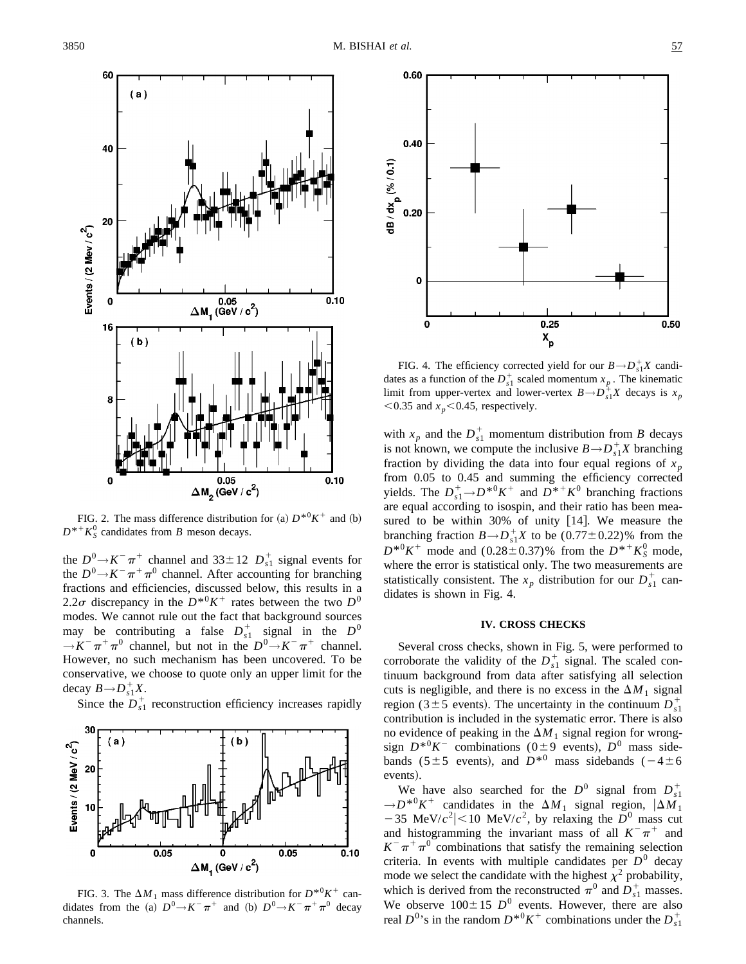

FIG. 2. The mass difference distribution for (a)  $D^{*0}K^+$  and (b)  $D^{*+}K_S^0$  candidates from *B* meson decays.

the  $D^0 \rightarrow K^- \pi^+$  channel and 33±12  $D_{s1}^+$  signal events for the  $D^0 \rightarrow K^- \pi^+ \pi^0$  channel. After accounting for branching fractions and efficiencies, discussed below, this results in a 2.2 $\sigma$  discrepancy in the  $D^{*0}K^+$  rates between the two  $D^0$ modes. We cannot rule out the fact that background sources may be contributing a false  $D_{s1}^+$  signal in the  $D^0$  $\rightarrow$ *K*<sup>-</sup> $\pi$ <sup>+</sup> $\pi$ <sup>0</sup> channel, but not in the *D*<sup>0</sup> $\rightarrow$ *K*<sup>-</sup> $\pi$ <sup>+</sup> channel. However, no such mechanism has been uncovered. To be conservative, we choose to quote only an upper limit for the decay  $B \rightarrow D_{s1}^+ X$ .

Since the  $D_{s_1}^+$  reconstruction efficiency increases rapidly



FIG. 3. The  $\Delta M_1$  mass difference distribution for  $D^{*0}K^+$  candidates from the (a)  $D^0 \rightarrow K^- \pi^+$  and (b)  $D^0 \rightarrow K^- \pi^+ \pi^0$  decay channels.



FIG. 4. The efficiency corrected yield for our  $B \rightarrow D_{s1}^+ X$  candidates as a function of the  $D_{s_1}^+$  scaled momentum  $x_p$ . The kinematic limit from upper-vertex and lower-vertex  $B \rightarrow D_{s1}^+ X$  decays is  $x_p$  $<$  0.35 and  $x_p$  < 0.45, respectively.

with  $x_p$  and the  $D_{s1}^+$  momentum distribution from *B* decays is not known, we compute the inclusive  $B \rightarrow D_{s1}^+ X$  branching fraction by dividing the data into four equal regions of  $x_p$ from 0.05 to 0.45 and summing the efficiency corrected yields. The  $D_{s_1}^+$   $\rightarrow$   $D^{*0}K^+$  and  $D^{*+}K^0$  branching fractions are equal according to isospin, and their ratio has been measured to be within  $30\%$  of unity  $[14]$ . We measure the branching fraction  $B \rightarrow D_{s1}^+ X$  to be  $(0.77 \pm 0.22)$ % from the  $D^{*0}K^+$  mode and  $(0.28 \pm 0.37)$ % from the  $D^{*+}K_S^0$  mode, where the error is statistical only. The two measurements are statistically consistent. The  $x_p$  distribution for our  $D_{s_1}^+$  candidates is shown in Fig. 4.

## **IV. CROSS CHECKS**

Several cross checks, shown in Fig. 5, were performed to corroborate the validity of the  $D_{s_1}^+$  signal. The scaled continuum background from data after satisfying all selection cuts is negligible, and there is no excess in the  $\Delta M_1$  signal region (3±5 events). The uncertainty in the continuum  $D_{s1}^+$ contribution is included in the systematic error. There is also no evidence of peaking in the  $\Delta M_1$  signal region for wrongsign  $D^{*0}K^-$  combinations (0±9 events),  $D^0$  mass sidebands (5±5 events), and  $D^{*0}$  mass sidebands (-4±6 events).

We have also searched for the  $D^0$  signal from  $D_{s1}^+$  $\rightarrow$ *D*<sup>\*0</sup>*K*<sup>+</sup> candidates in the  $\Delta M_1$  signal region,  $|\Delta M_1|$  $-35$  MeV/ $c^2$ |<10 MeV/ $c^2$ , by relaxing the  $D^0$  mass cut and histogramming the invariant mass of all  $K^-\pi^+$  and  $K^-\pi^+\pi^0$  combinations that satisfy the remaining selection criteria. In events with multiple candidates per  $D^0$  decay mode we select the candidate with the highest  $\chi^2$  probability, which is derived from the reconstructed  $\pi^0$  and  $D_{s1}^+$  masses. We observe  $100 \pm 15$  *D*<sup>0</sup> events. However, there are also real  $D^{0}$ 's in the random  $D^{*0}K^+$  combinations under the  $D_{s1}^+$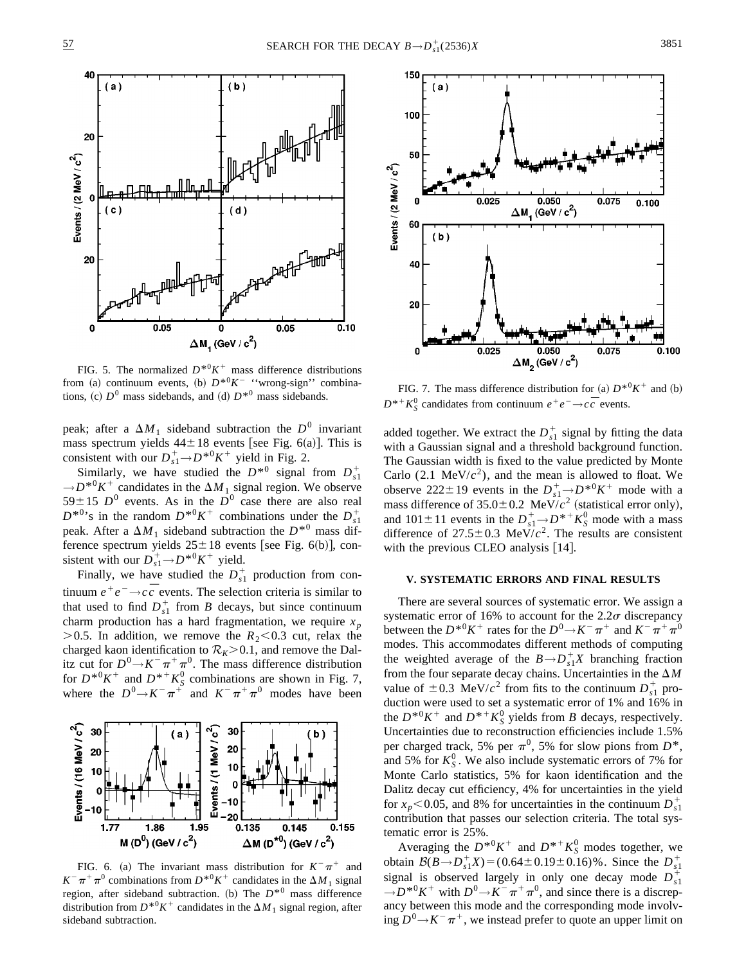

FIG. 5. The normalized  $D^{*0}K^+$  mass difference distributions from (a) continuum events, (b)  $D^{*0}K^-$  "wrong-sign" combinations, (c)  $D^0$  mass sidebands, and (d)  $D^{*0}$  mass sidebands.

peak; after a  $\Delta M_1$  sideband subtraction the  $D^0$  invariant mass spectrum yields  $44\pm18$  events [see Fig. 6(a)]. This is consistent with our  $D_{s1}^+ \rightarrow D^{*0}K^+$  yield in Fig. 2.

Similarly, we have studied the  $D^{*0}$  signal from  $D_{s1}^+$  $\rightarrow$ *D*<sup>\*0</sup>*K*<sup>+</sup> candidates in the  $\Delta M_1$  signal region. We observe  $59\pm15$  *D*<sup>0</sup> events. As in the *D*<sup>0</sup> case there are also real  $D^{*0}$ 's in the random  $D^{*0}K^+$  combinations under the  $D_{s1}^+$ peak. After a  $\Delta M_1$  sideband subtraction the  $D^{*0}$  mass difference spectrum yields  $25 \pm 18$  events [see Fig. 6(b)], consistent with our  $D_{s_1}^+$   $\rightarrow$   $D^{*0}K^+$  yield.

Finally, we have studied the  $D_{s_1}^+$  production from continuum  $e^+e^- \rightarrow c\bar{c}$  events. The selection criteria is similar to that used to find  $D_{s_1}^+$  from *B* decays, but since continuum charm production has a hard fragmentation, we require  $x_p$  $>$  0.5. In addition, we remove the  $R_2$  < 0.3 cut, relax the charged kaon identification to  $\mathcal{R}_K$  > 0.1, and remove the Dalitz cut for  $D^0 \rightarrow K^- \pi^+ \pi^0$ . The mass difference distribution for  $D^{*0}K^+$  and  $D^{*+}K_S^0$  combinations are shown in Fig. 7, where the  $D^0 \rightarrow K^- \pi^+$  and  $K^- \pi^+ \pi^0$  modes have been



FIG. 6. (a) The invariant mass distribution for  $K^-\pi^+$  and  $K^-\pi^+\pi^0$  combinations from  $D^{*0}K^+$  candidates in the  $\Delta M_1$  signal region, after sideband subtraction. (b) The  $D^{*0}$  mass difference distribution from  $D^{*0}K^+$  candidates in the  $\Delta M_1$  signal region, after sideband subtraction.



FIG. 7. The mass difference distribution for (a)  $D^{*0}K^+$  and (b)  $D^{*+}K_S^0$  candidates from continuum  $e^+e^- \rightarrow c\bar{c}$  events.

added together. We extract the  $D_{s_1}^+$  signal by fitting the data with a Gaussian signal and a threshold background function. The Gaussian width is fixed to the value predicted by Monte Carlo  $(2.1 \text{ MeV}/c^2)$ , and the mean is allowed to float. We observe 222±19 events in the  $D_{s_1}^+ \rightarrow D^{*0}K^+$  mode with a mass difference of  $35.0 \pm 0.2$  MeV/ $c^2$  (statistical error only), and  $101 \pm 11$  events in the  $D_{s1}^+ \rightarrow D^{*+} K_S^0$  mode with a mass difference of  $27.5 \pm 0.3$  MeV/ $c^2$ . The results are consistent with the previous CLEO analysis  $[14]$ .

## **V. SYSTEMATIC ERRORS AND FINAL RESULTS**

There are several sources of systematic error. We assign a systematic error of 16% to account for the 2.2 $\sigma$  discrepancy between the  $D^{*0}K^+$  rates for the  $D^0 \rightarrow K^- \pi^+$  and  $K^- \pi^+ \pi^0$ modes. This accommodates different methods of computing the weighted average of the  $B \rightarrow D_{s1}^+ X$  branching fraction from the four separate decay chains. Uncertainties in the  $\Delta M$ value of  $\pm 0.3$  MeV/ $c^2$  from fits to the continuum  $D_{s1}^+$  production were used to set a systematic error of 1% and 16% in the  $D^{*0}K^+$  and  $D^{*+}K^0_S$  yields from *B* decays, respectively. Uncertainties due to reconstruction efficiencies include 1.5% per charged track, 5% per  $\pi^0$ , 5% for slow pions from  $D^*$ , and 5% for  $K_S^0$ . We also include systematic errors of 7% for Monte Carlo statistics, 5% for kaon identification and the Dalitz decay cut efficiency, 4% for uncertainties in the yield for  $x_p$ <0.05, and 8% for uncertainties in the continuum  $D_{s1}^+$ contribution that passes our selection criteria. The total systematic error is 25%.

Averaging the  $D^{*0}K^+$  and  $D^{*+}K^0_S$  modes together, we obtain  $B(B \to D_{s_1}^+ X) = (0.64 \pm 0.19 \pm 0.16)$ %. Since the  $D_{s_1}^+$ signal is observed largely in only one decay mode  $D_{s1}^+$  $\rightarrow$  *D*<sup>\*0</sup>*K*<sup>+</sup> with *D*<sup>0</sup> $\rightarrow$ *K*<sup>-</sup> $\pi$ <sup>+</sup> $\pi$ <sup>0</sup>, and since there is a discrepancy between this mode and the corresponding mode involving  $D^0$ → $K^-\pi^+$ , we instead prefer to quote an upper limit on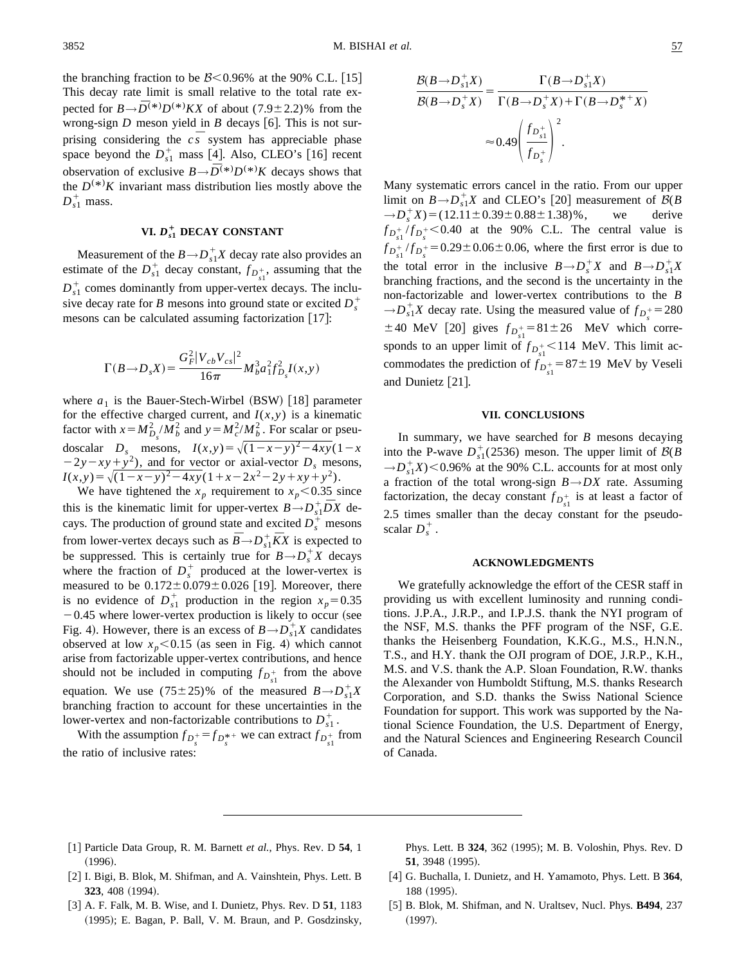the branching fraction to be  $B < 0.96\%$  at the 90% C.L. [15] This decay rate limit is small relative to the total rate expected for  $B \rightarrow \overline{D}^{(*)}D^{(*)}KX$  of about (7.9±2.2)% from the wrong-sign  $D$  meson yield in  $B$  decays [6]. This is not surprising considering the  $c\bar{s}$  system has appreciable phase space beyond the  $D_{s_1}^+$  mass [4]. Also, CLEO's [16] recent observation of exclusive  $B \rightarrow \overline{D}^{(*)}D^{(*)}K$  decays shows that the  $D^{(*)}K$  invariant mass distribution lies mostly above the  $D_{s1}^+$  mass.

## **VI.**  $D_{s1}^+$  **DECAY CONSTANT**

Measurement of the  $B \rightarrow D_{s1}^+ X$  decay rate also provides an estimate of the  $D_{s_1}^+$  decay constant,  $f_{D_{s_1}^+}$ , assuming that the  $D_{s1}^+$  comes dominantly from upper-vertex decays. The inclusive decay rate for *B* mesons into ground state or excited  $D_s^+$ mesons can be calculated assuming factorization  $\lfloor 17 \rfloor$ :

$$
\Gamma(B \to D_s X) = \frac{G_F^2 |V_{cb}V_{cs}|^2}{16\pi} M_b^3 a_1^2 f_{D_s}^2 I(x, y)
$$

where  $a_1$  is the Bauer-Stech-Wirbel (BSW) [18] parameter for the effective charged current, and  $I(x, y)$  is a kinematic factor with  $x = M_{D_s}^2 / M_b^2$  and  $y = M_c^2 / M_b^2$ . For scalar or pseudoscalar *D<sub>s</sub>* mesons,  $I(x,y) = \sqrt{(1-x-y)^2-4xy}(1-x)$  $(2y - xy + y^2)$ , and for vector or axial-vector *D<sub>s</sub>* mesons,  $I(x,y) = \sqrt{(1-x-y)^2-4xy}(1+x-2x^2-2y+xy+y^2).$ 

We have tightened the  $x_p$  requirement to  $x_p < 0.35$  since this is the kinematic limit for upper-vertex  $B \rightarrow D_{s_1}^+ \bar{D}X$  decays. The production of ground state and excited  $D_s^+$  mesons from lower-vertex decays such as  $\overline{B} \rightarrow D_{s_1}^+ \overline{K}X$  is expected to be suppressed. This is certainly true for  $B \rightarrow D_s^+ X$  decays where the fraction of  $D_s^+$  produced at the lower-vertex is measured to be  $0.172 \pm 0.079 \pm 0.026$  [19]. Moreover, there is no evidence of  $D_{s_1}^+$  production in the region  $x_p = 0.35$  $-0.45$  where lower-vertex production is likely to occur (see Fig. 4). However, there is an excess of  $B \rightarrow D_{s1}^+ X$  candidates observed at low  $x_p < 0.15$  (as seen in Fig. 4) which cannot arise from factorizable upper-vertex contributions, and hence should not be included in computing  $f_{D_{s1}^+}$  from the above equation. We use  $(75\pm25)\%$  of the measured  $B \rightarrow D_{s1}^+ X$ branching fraction to account for these uncertainties in the lower-vertex and non-factorizable contributions to  $D_{s1}^+$ .

With the assumption  $f_{D_s^+} = f_{D_s^*}$  we can extract  $f_{D_{s1}^+}$  from the ratio of inclusive rates:

$$
\frac{\mathcal{B}(B \to D_{s_1}^+ X)}{\mathcal{B}(B \to D_s^+ X)} = \frac{\Gamma(B \to D_{s_1}^+ X)}{\Gamma(B \to D_s^+ X) + \Gamma(B \to D_s^{*+} X)}
$$

$$
\approx 0.49 \left(\frac{f_{D_{s_1}^+}}{f_{D_s^+}}\right)^2.
$$

Many systematic errors cancel in the ratio. From our upper limit on  $B \rightarrow D_{s1}^+ X$  and CLEO's [20] measurement of  $B(B)$  $\rightarrow D_s^+ X$ ) = (12.11 ± 0.39 ± 0.88 ± 1.38)%, we derive  $f_{D_{s_1}^+}/f_{D_s^+}$  < 0.40 at the 90% C.L. The central value is  $f_{D_{s_1}^+}/f_{D_s^+} = 0.29 \pm 0.06 \pm 0.06$ , where the first error is due to the total error in the inclusive  $B \rightarrow D_s^+ X$  and  $B \rightarrow D_{s1}^+ X$ branching fractions, and the second is the uncertainty in the non-factorizable and lower-vertex contributions to the *B*  $\rightarrow D_{s1}^+ X$  decay rate. Using the measured value of  $f_{D_s^+} = 280$  $\pm 40$  MeV [20] gives  $f_{D_{s1}^+} = 81 \pm 26$  MeV which corresponds to an upper limit of  $f_{D_{s1}^+}$  < 114 MeV. This limit accommodates the prediction of  $f_{D_{s1}^+} = 87 \pm 19$  MeV by Veseli and Dunietz  $[21]$ .

#### **VII. CONCLUSIONS**

In summary, we have searched for *B* mesons decaying into the P-wave  $D_{s1}^+(2536)$  meson. The upper limit of  $B(B)$  $\rightarrow D_{s1}^+X$  × 0.96% at the 90% C.L. accounts for at most only a fraction of the total wrong-sign *B→DX* rate. Assuming factorization, the decay constant  $f_{D_{s1}^+}$  is at least a factor of 2.5 times smaller than the decay constant for the pseudoscalar  $D_s^+$ .

## **ACKNOWLEDGMENTS**

We gratefully acknowledge the effort of the CESR staff in providing us with excellent luminosity and running conditions. J.P.A., J.R.P., and I.P.J.S. thank the NYI program of the NSF, M.S. thanks the PFF program of the NSF, G.E. thanks the Heisenberg Foundation, K.K.G., M.S., H.N.N., T.S., and H.Y. thank the OJI program of DOE, J.R.P., K.H., M.S. and V.S. thank the A.P. Sloan Foundation, R.W. thanks the Alexander von Humboldt Stiftung, M.S. thanks Research Corporation, and S.D. thanks the Swiss National Science Foundation for support. This work was supported by the National Science Foundation, the U.S. Department of Energy, and the Natural Sciences and Engineering Research Council of Canada.

@1# Particle Data Group, R. M. Barnett *et al.*, Phys. Rev. D **54**, 1  $(1996).$ 

Phys. Lett. B 324, 362 (1995); M. B. Voloshin, Phys. Rev. D **51**, 3948 (1995).

- [2] I. Bigi, B. Blok, M. Shifman, and A. Vainshtein, Phys. Lett. B **323**, 408 (1994).
- @3# A. F. Falk, M. B. Wise, and I. Dunietz, Phys. Rev. D **51**, 1183 (1995); E. Bagan, P. Ball, V. M. Braun, and P. Gosdzinsky,
- [4] G. Buchalla, I. Dunietz, and H. Yamamoto, Phys. Lett. B 364, 188 (1995). @5# B. Blok, M. Shifman, and N. Uraltsev, Nucl. Phys. **B494**, 237
- $(1997).$